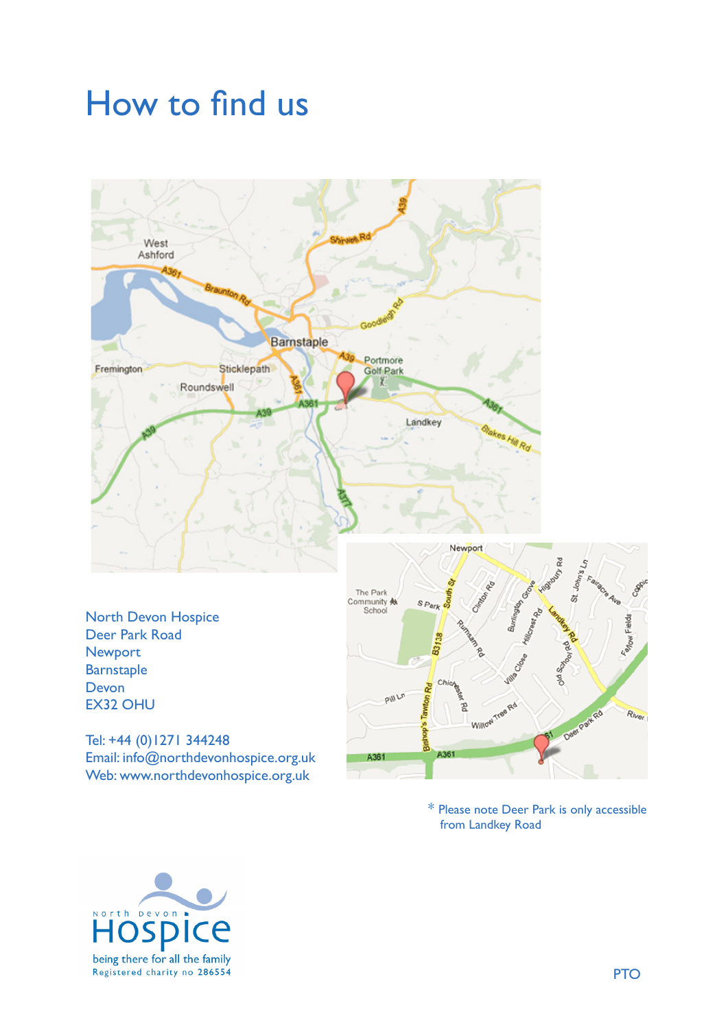## How to find us How to find us How to find us



Deer Park Road Newport Barnstaple Devon Devon EX32 OHU EX32 OHU EX32 OHU North Devon Hospice North Devon Hospice North Devon Hospice

Email: info@northdevonhospice.org.uk Web: www.northdevonhospice.org.uk Tel: +44 (0)1271 344248 Tel: +44 (0)1271 344248 Tel: +44 (0)1271 344248



from Landkey Road \* Please note Deer Park is only accessible \* Please note Deer Park is only accessible \* Please note Deer Park is only accessible